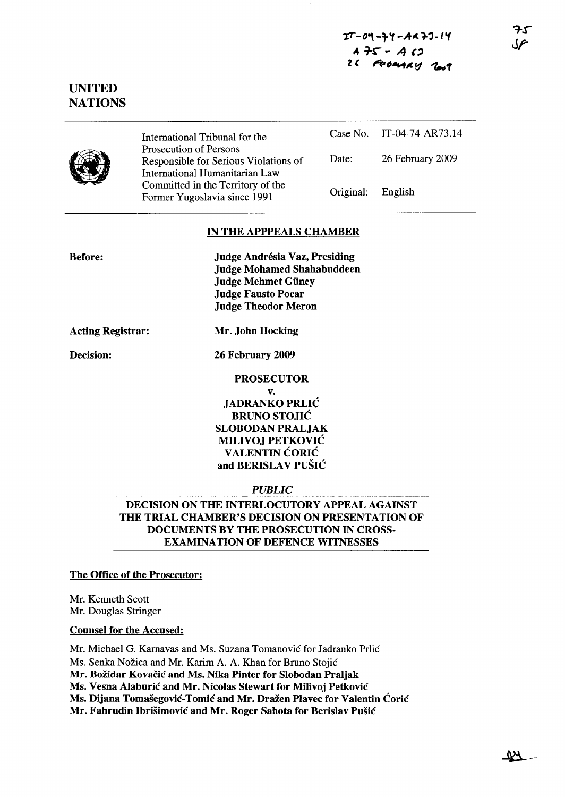# UNITED **NATIONS**

|--|

International Tribunal for the Prosecution of Persons Responsible for Serious Violations of International Humanitarian Law Committed in the Territory of the Former Yugoslavia since 1991

|                   | Case No. IT-04-74-AR73.14 |
|-------------------|---------------------------|
| Date:             | 26 February 2009          |
| Original: English |                           |

### IN THE APPPEALS CHAMBER

Judge Andrésia Vaz, Presiding Judge Mohamed Shahabuddeen Judge Mehmet Güney Judge Fausto Pocar Judge Theodor Meron

Acting Registrar: Mr. John Hocking

Decision: 26 February 2009

## PROSECUTOR

v. JADRANKO PRLIC BRUNO STOJIC SLOBODAN PRALJAK MILIVOJ PETKOVIC **VALENTIN CORIC** and BERISLAV PUŠIĆ

### *PUBLIC*

DECISION ON THE INTERLOCUTORY APPEAL AGAINST THE TRIAL CHAMBER'S DECISION ON PRESENTATION OF DOCUMENTS BY THE PROSECUTION IN CROSS-EXAMINATION OF DEFENCE WITNESSES

# The Office of the Prosecutor:

Mr. Kenneth Scott Mr. Douglas Stringer

# Counsel for the Accused:

Mr. Michael G. Kamavas and Ms. Suzana Tomanovic for Jadranko Prlic Ms. Senka Nožica and Mr. Karim A. A. Khan for Bruno Stojić Mr. Božidar Kovačić and Ms. Nika Pinter for Slobodan Praljak Ms. Vesna Alaburić and Mr. Nicolas Stewart for Milivoj Petković Ms. Dijana Tomašegović-Tomić and Mr. Dražen Plavec for Valentin Ćorić Mr. Fahrudin Ibrišimović and Mr. Roger Sahota for Berislav Pušić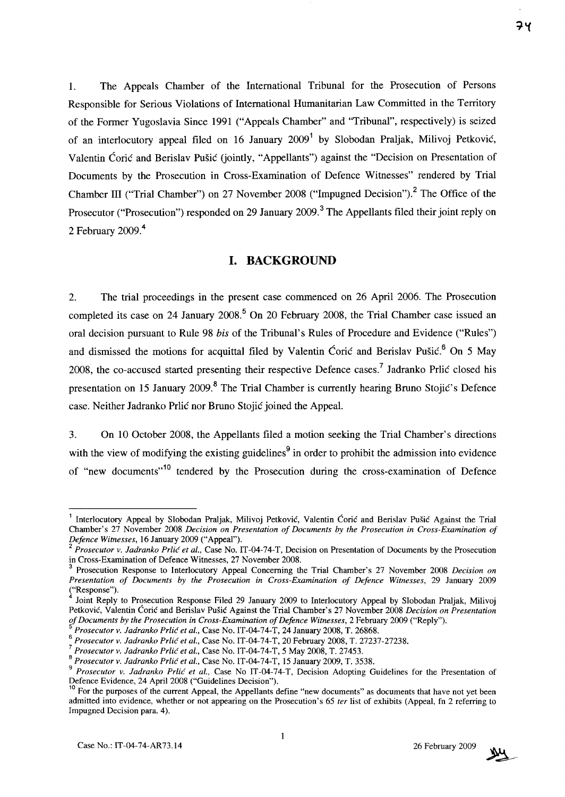1. The Appeals Chamber of the International Tribunal for the Prosecution of Persons Responsible for Serious Violations of International Humanitarian Law Committed in the Territory of the Former Yugoslavia Since 1991 ("Appeals Chamber" and "Tribunal", respectively) is seized of an interlocutory appeal filed on 16 January  $2009<sup>1</sup>$  by Slobodan Praljak, Milivoj Petković, Valentin Corie and Berislav Pusie (jointly, "Appellants") against the "Decision on Presentation of Documents by the Prosecution in Cross-Examination of Defence Witnesses" rendered by Trial Chamber III ("Trial Chamber") on 27 November 2008 ("Impugned Decision").<sup>2</sup> The Office of the Prosecutor ("Prosecution") responded on 29 January 2009.<sup>3</sup> The Appellants filed their joint reply on 2 February 2009.<sup>4</sup>

## **I. BACKGROUND**

2. The trial proceedings in the present case commenced on 26 April 2006. The Prosecution completed its case on 24 January 2008.<sup>5</sup> On 20 February 2008, the Trial Chamber case issued an oral decision pursuant to Rule 98 *his* of the Tribunal's Rules of Procedure and Evidence ("Rules") and dismissed the motions for acquittal filed by Valentin Ćorić and Berislav Pušić.<sup>6</sup> On 5 Mav 2008, the co-accused started presenting their respective Defence cases.<sup>7</sup> Jadranko Prlić closed his presentation on 15 January 2009.<sup>8</sup> The Trial Chamber is currently hearing Bruno Stojić's Defence case. Neither Jadranko Prlić nor Bruno Stojić joined the Appeal.

3. On 10 October 2008, the Appellants filed a motion seeking the Trial Chamber's directions with the view of modifying the existing guidelines<sup>9</sup> in order to prohibit the admission into evidence of "new documents"<sup>10</sup> tendered by the Prosecution during the cross-examination of Defence



<sup>&</sup>lt;sup>1</sup> Interlocutory Appeal by Slobodan Praljak, Milivoj Petković, Valentin Ćorić and Berislav Pušić Against the Trial Chamber's 27 November 2008 *Decision on Presentation of Documents by the Prosecution in Cross-Examination of Defence Witnesses,* 16 January 2009 ("Appeal").

*<sup>2</sup> Prosecutor v. ladranko Prlic et aI.,* Case No. IT-04-74-T, Decision on Presentation of Documents by the Prosecution in Cross-Examination of Defence Witnesses, 27 November 2008.

<sup>3</sup> Prosecution Response to Interlocutory Appeal Concerning the Trial Chamber's 27 November 2008 *Decision on Presentation of Documents by the Prosecution in Cross-Examination of Defence Witnesses,* 29 January 2009 ("Response").

<sup>4</sup> Joint Reply to Prosecution Response Filed 29 January 2009 to Interlocutory Appeal by Slobodan Praljak, Milivoj Petković, Valentin Ćorić and Berislav Pušić Against the Trial Chamber's 27 November 2008 *Decision on Presentation of Documents by the Prosecution in Cross-Examination of Defence Witnesses,* 2 February 2009 ("Reply").

*<sup>5</sup> Prosecutor v. ladranko Prlic et aI.,* Case No. IT-04-74-T, 24 January 2008, T. 26868.

<sup>6</sup>*Prosecutor v. ladranko Prlic et aI.,* Case No. IT-04-74-T, 20 February 2008, T. 27237-27238.

*<sup>7</sup> Prosecutorv. ladranko Prlic et aI.,* Case No. IT-04-74-T, 5 May 2008, T. 27453.

<sup>8</sup>*Prosecutor v. ladranko Prlic et aI.,* Case No. IT-04-74-T, 15 January 2009, T. 3538.

<sup>9</sup>*Prosecutor v. ladranko Prlic et aI.,* Case No IT-04-74-T, Decision Adopting Guidelines for the Presentation of Defence Evidence, 24 April 2008 ("Guidelines Decision").

<sup>&</sup>lt;sup>10</sup> For the purposes of the current Appeal, the Appellants define "new documents" as documents that have not yet been admitted into evidence, whether or not appearing on the Prosecution's 65 *ter* list of exhibits (Appeal, fn 2 referring to Impugned Decision para. 4).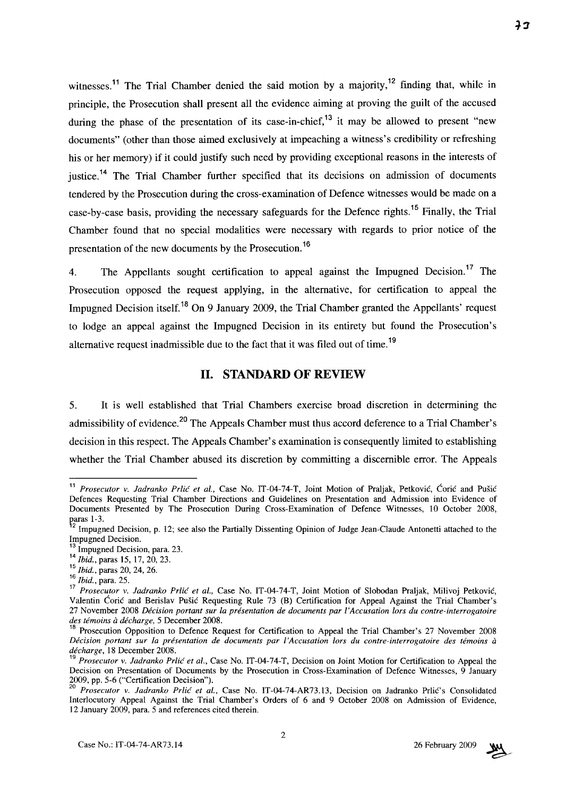witnesses.<sup>11</sup> The Trial Chamber denied the said motion by a majority,<sup>12</sup> finding that, while in principle, the Prosecution shall present all the evidence aiming at proving the guilt of the accused during the phase of the presentation of its case-in-chief,<sup>13</sup> it may be allowed to present "new" documents" (other than those aimed exclusively at impeaching a witness's credibility or refreshing his or her memory) if it could justify such need by providing exceptional reasons in the interests of justice.<sup>14</sup> The Trial Chamber further specified that its decisions on admission of documents tendered by the Prosecution during the cross-examination of Defence witnesses would be made on a case-by-case basis, providing the necessary safeguards for the Defence rights.15 Finally, the Trial Chamber found that no special modalities were necessary with regards to prior notice of the presentation of the new documents by the Prosecution.<sup>16</sup>

4. The Appellants sought certification to appeal against the Impugned Decision.<sup>17</sup> The Prosecution opposed the request applying, in the alternative, for certification to appeal the Impugned Decision itself.<sup>18</sup> On 9 January 2009, the Trial Chamber granted the Appellants' request to lodge an appeal against the Impugned Decision in its entirety but found the Prosecution's alternative request inadmissible due to the fact that it was filed out of time.<sup>19</sup>

## **11. STANDARD OF REVIEW**

5. It is well established that Trial Chambers exercise broad discretion in determining the admissibility of evidence.<sup>20</sup> The Appeals Chamber must thus accord deference to a Trial Chamber's decision in this respect. The Appeals Chamber's examination is consequently limited to establishing whether the Trial Chamber abused its discretion by committing a discernible error. The Appeals

<sup>15</sup>*Ibid.,* paras 20, 24, 26.



<sup>&</sup>lt;sup>11</sup> Prosecutor v. Jadranko Prlić et al., Case No. IT-04-74-T, Joint Motion of Praljak, Petković, Ćorić and Pušić Defences Requesting Trial Chamber Directions and Guidelines on Presentation and Admission into Evidence of Documents Presented by The Prosecution During Cross-Examination of Defence Witnesses, 10 October 2008, paras 1-3.<br><sup>12</sup> Impugned Decision, p. 12; see also the Partially Dissenting Opinion of Judge Jean-Claude Antonetti attached to the

Impugned Decision.

Impugned Decision, para. 23.

<sup>14</sup> *Ibid.*, paras 15, 17, 20, 23.

<sup>16</sup>*Ibid.,* para. 25.

<sup>17</sup>*Prosecutor v. ladranko Prlic et aI.,* Case No. IT-04-74-T, Joint Motion of Slobodan Praljak, Milivoj Petkovie, Valentin Corie and Berislav Pusie Requesting Rule 73 (B) Certification for Appeal Against the Trial Chamber's 27 November 2008 *Decision portant sur la presentation de documents par l'Accusation lors du contre-interrogatoire des temoins a decharge,* 5 December 2008.

<sup>&</sup>lt;sup>18</sup> Prosecution Opposition to Defence Request for Certification to Appeal the Trial Chamber's 27 November 2008 *Decision portant sur la presentation de documents par l'Accusation lors du contre-interrogatoire des temoins a decharge,* 18 December 2008.

<sup>19</sup>*Prosecutor v. ladranko Prlic et al.,* Case No. IT-04-74-T, Decision on Joint Motion for Certification to Appeal the Decision on Presentation of Documents by the Prosecution in Cross-Examination of Defence Witnesses, 9 January 2009, pp. 5-6 ("Certification Decision").

*<sup>20</sup> Prosecutor v. ladranko Prlic et aI.,* Case No. IT-04-74-AR73.13, Decision on Jadranko Prlie's Consolidated Interlocutory Appeal Against the Trial Chamber's Orders of 6 and 9 October 2008 on Admission of Evidence, 12 January 2009, para. 5 and references cited therein.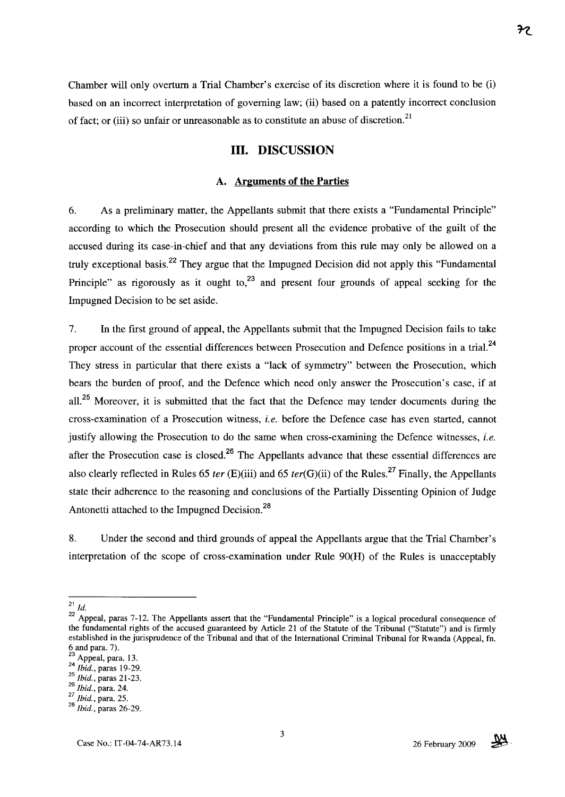Chamber will only overturn a Trial Chamber's exercise of its discretion where it is found to be (i) based on an incorrect interpretation of governing law; (ii) based on a patently incorrect conclusion of fact; or (iii) so unfair or unreasonable as to constitute an abuse of discretion.<sup>21</sup>

# **Ill. DISCUSSION**

#### **A. Arguments of the Parties**

6. As a preliminary matter, the Appellants submit that there exists a "Fundamental Principle" according to which the Prosecution should present all the evidence probative of the guilt of the accused during its case-in-chief and that any deviations from this rule may only be allowed on a truly exceptional basis.<sup>22</sup> They argue that the Impugned Decision did not apply this "Fundamental Principle" as rigorously as it ought to, $^{23}$  and present four grounds of appeal seeking for the Impugned Decision to be set aside.

7. In the first ground of appeal, the Appellants submit that the Impugned Decision fails to take proper account of the essential differences between Prosecution and Defence positions in a trial.<sup>24</sup> They stress in particular that there exists a "lack of symmetry" between the Prosecution, which bears the burden of proof, and the Defence which need only answer the Prosecution's case, if at all.<sup>25</sup> Moreover, it is submitted that the fact that the Defence may tender documents during the cross-examination of a Prosecution witness, *i.e.* before the Defence case has even started, cannot justify allowing the Prosecution to do the same when cross-examining the Defence witnesses, *i.e.*  after the Prosecution case is closed.<sup>26</sup> The Appellants advance that these essential differences are also clearly reflected in Rules 65 *ter* (E)(iii) and 65 *ter(G)(ii)* of the Rules.27 Finally, the Appellants state their adherence to the reasoning and conclusions of the Partially Dissenting Opinion of Judge Antonetti attached to the Impugned Decision.<sup>28</sup>

8. Under the second and third grounds of appeal the Appellants argue that the Trial Chamber's interpretation of the scope of cross-examination under Rule 90(H) of the Rules is unacceptably



 $^{21}$  *Id.* 

<sup>22</sup> Appeal, paras 7-12. The Appellants assert that the "Fundamental Principle" is a logical procedural consequence of the fundamental rights of the accused guaranteed by Article 21 of the Statute of the Tribunal ("Statute") and is firmly established in the jurisprudence of the Tribunal and that of the International Criminal Tribunal for Rwanda (Appeal, fn. 6 and para. 7).

 $^{23}$  Appeal, para. 13.

*<sup>24</sup> Ibid.,* paras 19-29.

<sup>25</sup>*Ibid.,* paras 21-23.

*<sup>26</sup> Ibid.,* para. 24.

*<sup>27</sup> Ibid.,* para. 25.

*<sup>28</sup> Ibid.,* paras 26-29.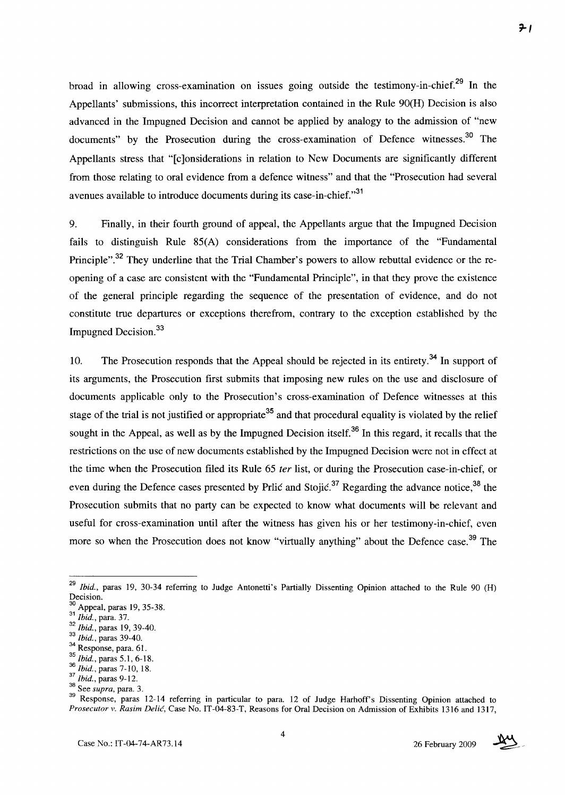broad in allowing cross-examination on issues going outside the testimony-in-chief.29 **In** the Appellants' submissions, this incorrect interpretation contained in the Rule 90(H) Decision is also advanced in the Impugned Decision and cannot be applied by analogy to the admission of "new documents" by the Prosecution during the cross-examination of Defence witnesses.<sup>30</sup> The Appellants stress that "[c]onsiderations in relation to New Documents are significantly different from those relating to oral evidence from a defence witness" and that the "Prosecution had several avenues available to introduce documents during its case-in-chief."<sup>31</sup>

9. Finally, in their fourth ground of appeal, the Appellants argue that the Impugned Decision fails to distinguish Rule 85(A) considerations from the importance of the "Fundamental Principle".<sup>32</sup> They underline that the Trial Chamber's powers to allow rebuttal evidence or the reopening of a case are consistent with the "Fundamental Principle", in that they prove the existence of the general principle regarding the sequence of the presentation of evidence, and do not constitute true departures or exceptions there from, contrary to the exception established by the Impugned Decision. $33$ 

10. The Prosecution responds that the Appeal should be rejected in its entirety.34 **In** support of its arguments, the Prosecution first submits that imposing new rules on the use and disclosure of documents applicable only to the Prosecution's cross-examination of Defence witnesses at this stage of the trial is not justified or appropriate<sup>35</sup> and that procedural equality is violated by the relief sought in the Appeal, as well as by the Impugned Decision itself.36 **In** this regard, it recalls that the restrictions on the use of new documents established by the Impugned Decision were not in effect at the time when the Prosecution filed its Rule 65 fer list, or during the Prosecution case-in-chief, or even during the Defence cases presented by Prlic and Stojic.<sup>37</sup> Regarding the advance notice.<sup>38</sup> the Prosecution submits that no party can be expected to know what documents will be relevant and useful for cross-examination until after the witness has given his or her testimony-in-chief, even more so when the Prosecution does not know "virtually anything" about the Defence case.<sup>39</sup> The



<sup>&</sup>lt;sup>29</sup> Ibid., paras 19, 30-34 referring to Judge Antonetti's Partially Dissenting Opinion attached to the Rule 90 (H) Decision.

Appeal, paras 19, 35-38.

<sup>31</sup>*Ibid.,* para. 37.

*<sup>32</sup> Ibid.,* paras 19,39-40.

<sup>33</sup>*Ibid.,* paras 39-40.

 $34$  Response, para. 61.

<sup>35</sup>*Ibid.,* paras 5.1, 6-18.

*<sup>36</sup> Ibid.,* paras 7-10,18.

*<sup>37</sup> Ibid.,* paras 9-12.

<sup>&</sup>lt;sup>38</sup> See *supra*, para. 3.

<sup>39</sup> Response, paras 12-14 referring in particular to para. 12 of Judge Harhoff's Dissenting Opinion attached to *Prosecutor v. Rasim Delic,* Case No. IT-04-83-T, Reasons for Oral Decision on Admission of Exhibits l316 and l317,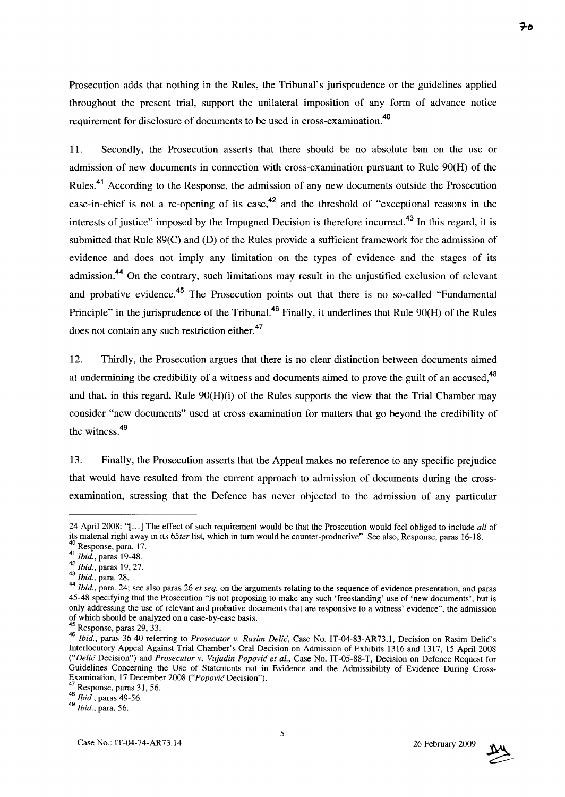Prosecution adds that nothing in the Rules, the Tribunal's jurisprudence or the guidelines applied throughout the present trial, support the unilateral imposition of any form of advance notice requirement for disclosure of documents to be used in cross-examination.<sup>40</sup>

11. Secondly, the Prosecution asserts that there should be no absolute ban on the use or admission of new documents in connection with cross-examination pursuant to Rule 90(H) of the Rules.<sup>41</sup> According to the Response, the admission of any new documents outside the Prosecution case-in-chief is not a re-opening of its case,<sup>42</sup> and the threshold of "exceptional reasons in the interests of justice" imposed by the Impugned Decision is therefore incorrect.<sup>43</sup> In this regard, it is submitted that Rule 89(C) and (D) of the Rules provide a sufficient framework for the admission of evidence and does not imply any limitation on the types of evidence and the stages of its admission.<sup>44</sup> On the contrary, such limitations may result in the unjustified exclusion of relevant and probative evidence.<sup>45</sup> The Prosecution points out that there is no so-called "Fundamental" Principle" in the jurisprudence of the Tribunal.<sup>46</sup> Finally, it underlines that Rule 90(H) of the Rules does not contain any such restriction either.<sup>47</sup>

12. Thirdly, the Prosecution argues that there is no clear distinction between documents aimed at undermining the credibility of a witness and documents aimed to prove the guilt of an accused,<sup>48</sup> and that, in this regard, Rule  $90(H)(i)$  of the Rules supports the view that the Trial Chamber may consider "new documents" used at cross-examination for matters that go beyond the credibility of the witness.<sup>49</sup>

13. Finally, the Prosecution asserts that the Appeal makes no reference to any specific prejudice that would have resulted from the current approach to admission of documents during the crossexamination, stressing that the Defence has never objected to the admission of any particular



<sup>24</sup> April 2008: "[ ... ] The effect of such requirement would be that the Prosecution would feel obliged to include *all* of its material right away in its *65ter* list, which in turn would be counter-productive". See also, Response, paras 16-18. 40 Response, para. 17.

<sup>41</sup>*Ibid.,* paras 19-48.

*<sup>42</sup> Ibid.,* paras 19,27.

*<sup>43</sup> Ibid.,* para. 28.

<sup>44</sup>*Ibid.,* para. 24; see also paras 26 *et seq.* on the arguments relating to the sequence of evidence presentation, and paras 45-48 specifying that the Prosecution "is not proposing to make any such 'freestanding' use of 'new documents', but is only addressing the use of relevant and probative documents that are responsive to a witness' evidence", the admission of which should be analyzed on a case-by-case basis.

Response, paras 29, 33.

*<sup>46</sup> Ibid.,* paras 36-40 referring to *Prosecutor v. Rasim Delic,* Case No. IT-04-83-AR73.1, Decision on Rasim Delic's Interlocutory Appeal Against Trial Chamber's Oral Decision on Admission of Exhibits 1316 and 1317, 15 April 2008 *("Delic* Decision") and *Prosecutor v. Vujadin Popovic et aI.,* Case No. IT-05-88-T, Decision on Defence Request for Guidelines Concerning the Use of Statements not in Evidence and the Admissibility of Evidence During Cross-Examination, 17 December 2008 *("Popovic* Decision").

Response, paras 31, 56.

*<sup>48</sup> Ibid.,* paras 49-56.

*<sup>49</sup> Ibid.,* para. 56.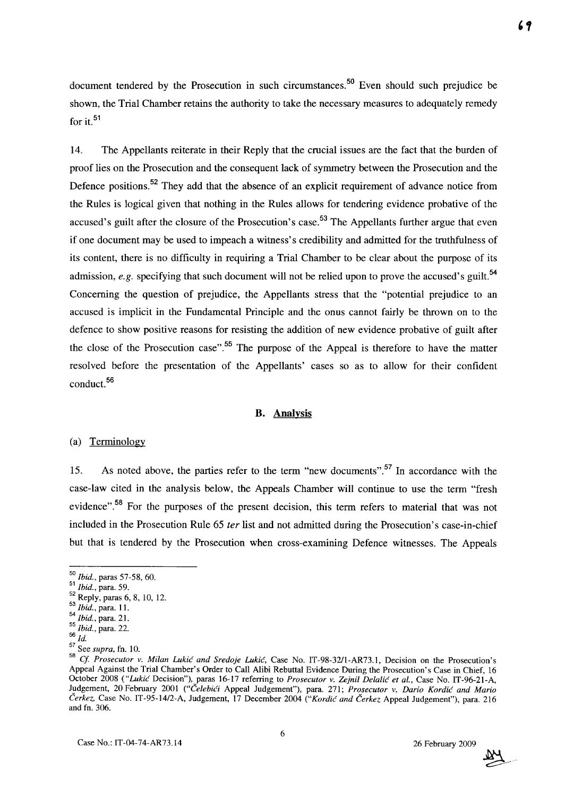document tendered by the Prosecution in such circumstances.<sup>50</sup> Even should such prejudice be shown, the Trial Chamber retains the authority to take the necessary measures to adequately remedy for it. $51$ 

14. The Appellants reiterate in their Reply that the crucial issues are the fact that the burden of proof lies on the Prosecution and the consequent lack of symmetry between the Prosecution and the Defence positions.<sup>52</sup> They add that the absence of an explicit requirement of advance notice from the Rules is logical given that nothing in the Rules allows for tendering evidence probative of the accused's guilt after the closure of the Prosecution's case.<sup>53</sup> The Appellants further argue that even if one document may be used to impeach a witness's credibility and admitted for the truthfulness of its content, there is no difficulty in requiring a Trial Chamber to be clear about the purpose of its admission, *e.g.* specifying that such document will not be relied upon to prove the accused's guilt.<sup>54</sup> Concerning the question of prejudice, the Appellants stress that the "potential prejudice to an accused is implicit in the Fundamental Principle and the onus cannot fairly be thrown on to the defence to show positive reasons for resisting the addition of new evidence probative of guilt after the close of the Prosecution case".<sup>55</sup> The purpose of the Appeal is therefore to have the matter resolved before the presentation of the Appellants' cases so as to allow for their confident conduct. 56

#### **B. Analysis**

#### (a) Terminology

15. As noted above, the parties refer to the term "new documents".<sup>57</sup> In accordance with the case-law cited in the analysis below, the Appeals Chamber will continue to use the term "fresh evidence".<sup>58</sup> For the purposes of the present decision, this term refers to material that was not included in the Prosecution Rule 65 *ter* list and not admitted during the Prosecution's case-in-chief but that is tendered by the Prosecution when cross-examining Defence witnesses. The Appeals



*<sup>50</sup> Ibid.,* paras 57-58, 60.

<sup>51</sup>*Ibid.,* para. 59.

 $52$  Reply, paras 6, 8, 10, 12.

<sup>53</sup>*Ibid.,* para. 11.

<sup>54</sup>*Ibid.,* para. 21.

<sup>55</sup> *Ibid.,* para. 22.

<sup>56</sup>  $\overline{Id}$ .

<sup>57</sup> See *supra,* fn. 10.

<sup>58</sup>*Cf Prosecutor v. Milan Lukic and Sredoje Lukic,* Case No. IT-98-3211-AR73.1, Decision on the Prosecution's Appeal Against the Trial Chamber's Order to Call Alibi Rebuttal Evidence During the Prosecution's Case in Chief, 16 October 2008 *("Lukic* Decision"), paras 16-17 referring to *Prosecutor v. Zejnil Delalic et aI.,* Case No. IT-96-21-A, Judgement, 20 February 2001 *("Celebici* Appeal Judgement"), para. 271; *Prosecutor v. Dario Kordic and Mario Cerkez,* Case No. IT-95-14/2-A, Judgement, 17 December 2004 *("Kordic and Cerkez* Appeal Judgement"), para. 216 and fn. 306.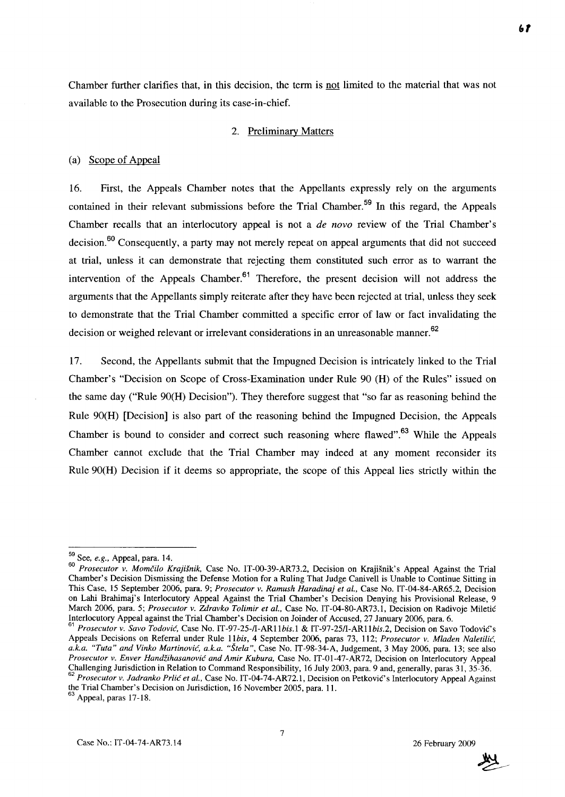Chamber further clarifies that, in this decision, the term is not limited to the material that was not available to the Prosecution during its case-in-chief.

### 2. Preliminary Matters

#### (a) Scope of Appeal

16. First, the Appeals Chamber notes that the Appellants expressly rely on the arguments contained in their relevant submissions before the Trial Chamber. 59 **In** this regard, the Appeals Chamber recalls that an interlocutory appeal is not a *de novo* review of the Trial Chamber's decision.<sup>60</sup> Consequently, a party may not merely repeat on appeal arguments that did not succeed at trial, unless it can demonstrate that rejecting them constituted such error as to warrant the intervention of the Appeals Chamber. $61$  Therefore, the present decision will not address the arguments that the Appellants simply reiterate after they have been rejected at trial, unless they seek to demonstrate that the Trial Chamber committed a specific error of law or fact invalidating the decision or weighed relevant or irrelevant considerations in an unreasonable manner.<sup>62</sup>

17. Second, the Appellants submit that the Impugned Decision is intricately linked to the Trial Chamber's "Decision on Scope of Cross-Examination under Rule 90 (H) of the Rules" issued on the same day ("Rule 90(H) Decision"). They therefore suggest that "so far as reasoning behind the Rule 90(H) [Decision] is also part of the reasoning behind the Impugned Decision, the Appeals Chamber is bound to consider and correct such reasoning where flawed".<sup>63</sup> While the Appeals Chamber cannot exclude that the Trial Chamber may indeed at any moment reconsider its Rule 90(H) Decision if it deems so appropriate, the scope of this Appeal lies strictly within the

the Trial Chamber's Decision on Jurisdiction, 16 November 2005, para. 11.



<sup>59</sup> See, *e.g.,* Appeal, para. 14.

*<sup>60</sup> Prosecutor v. Momcilo Krajisnik,* Case No. IT-00-39-AR73.2, Decision on Krajisnik's Appeal Against the Trial Chamber's Decision Dismissing the Defense Motion for a Ruling That Judge Canivell is Unable to Continue Sitting in This Case, 15 September 2006, para. 9; *Prosecutor v. Ramush Haradinaj et aI.,* Case No. IT-04-84-AR65.2, Decision on Lahi Brahimaj's Interlocutory Appeal Against the Trial Chamber's Decision Denying his Provisional Release, 9 March 2006, para. 5; *Prosecutor v. Zdravko Tolimir et aI.,* Case No. IT-04-80-AR73.1, Decision on Radivoje Miletic Interlocutory Appeal against the Trial Chamber's Decision on Joinder of Accused, 27 January 2006, para. 6.

<sup>61</sup>*Prosecutor v. Savo Todovic,* Case No. *IT-97-25-II-AR11bis.1* & *IT-97-251I-AR11bis.2,* Decision on Savo TodoviC's Appeals Decisions on Referral under Rule *11bis,* 4 September 2006, paras 73, 112; *Prosecutor v. Mladen Naletilic, a.k.a. "Tuta" and Vinko Martinovic, a.k.a. "Stela",* Case No. IT-98-34-A, Judgement, 3 May 2006, para. 13; see also *Prosecutor v. Enver Handzihasanovic and Amir Kubura,* Case No. IT-01-47-AR72, Decision on Interlocutory Appeal Challenging Jurisdiction in Relation to Command Responsibility, 16 July 2003, para. 9 and, generally, paras 31, 35-36. *62 Prosecutor v. ladranko Prlic et al.,* Case No. IT -04-74-AR72.1, Decision on Petkovic' s Interlocutory Appeal Against

<sup>&</sup>lt;sup>63</sup> Appeal, paras 17-18.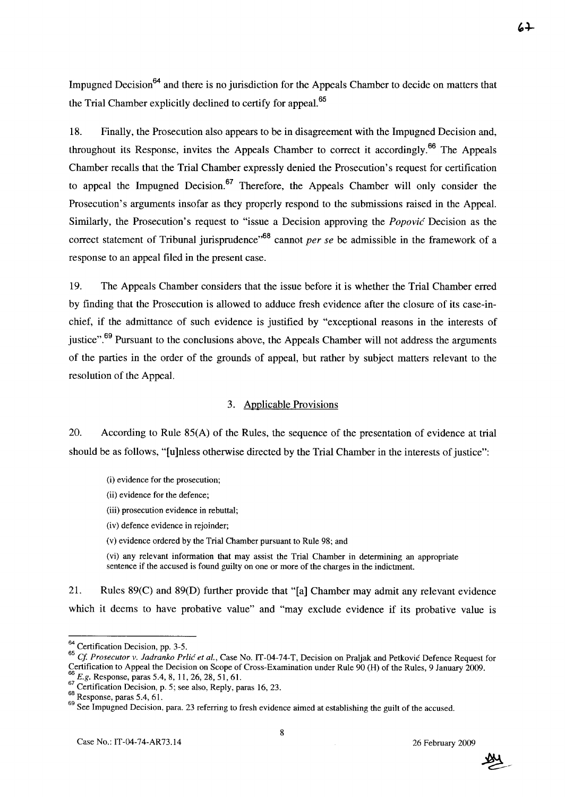Impugned Decision<sup>64</sup> and there is no jurisdiction for the Appeals Chamber to decide on matters that the Trial Chamber explicitly declined to certify for appeal.<sup>65</sup>

18. Finally, the Prosecution also appears to be in disagreement with the Impugned Decision and, throughout its Response, invites the Appeals Chamber to correct it accordingly.<sup>66</sup> The Appeals Chamber recalls that the Trial Chamber expressly denied the Prosecution's request for certification to appeal the Impugned Decision.<sup>67</sup> Therefore, the Appeals Chamber will only consider the Prosecution's arguments insofar as they properly respond to the submissions raised in the Appeal. Similarly, the Prosecution's request to "issue a Decision approving the *Popovic* Decision as the correct statement of Tribunal jurisprudence<sup>,68</sup> cannot *per se* be admissible in the framework of a response to an appeal filed in the present case.

19. The Appeals Chamber considers that the issue before it is whether the Trial Chamber erred by finding that the Prosecution is allowed to adduce fresh evidence after the closure of its case-inchief, if the admittance of such evidence is justified by "exceptional reasons in the interests of iustice".<sup>69</sup> Pursuant to the conclusions above, the Appeals Chamber will not address the arguments of the parties in the order of the grounds of appeal, but rather by subject matters relevant to the resolution of the Appeal.

### 3. Applicable Provisions

20. According to Rule 85(A) of the Rules, the sequence of the presentation of evidence at trial should be as follows, "[u]nless otherwise directed by the Trial Chamber in the interests of justice":

- (i) evidence for the prosecution;
- (ii) evidence for the defence;
- (iii) prosecution evidence in rebuttal;
- (iv) defence evidence in rejoinder;
- (v) evidence ordered by the Trial Chamber pursuant to Rule 98; and

(vi) any relevant information that may assist the Trial Chamber in determining an appropriate sentence if the accused is found guilty on one or more of the charges in the indictment.

21. Rules 89(C) and 89(D) further provide that "[a] Chamber may admit any relevant evidence which it deems to have probative value" and "may exclude evidence if its probative value is



<sup>&</sup>lt;sup>64</sup> Certification Decision, pp. 3-5.

*<sup>65</sup>*ej. *Prosecutor v. ladranko Prlic et aI.,* Case No. IT-04-74-T, Decision on Praljak and Petkovic Defence Request for Certification to Appeal the Decision on Scope of Cross-Examination under Rule 90 (H) of the Rules, 9 January 2009. <sup>66</sup> *E.g.* Response, paras 5.4, 8, 11, 26, 28, 51, 61.

 $\frac{67}{1}$  Certification Decision, p. 5; see also, Reply, paras 16, 23.

<sup>68</sup> Response, paras 5.4, 61.

<sup>69</sup> See Impugned Decision, para. 23 referring to fresh evidence aimed at establishing the guilt of the accused.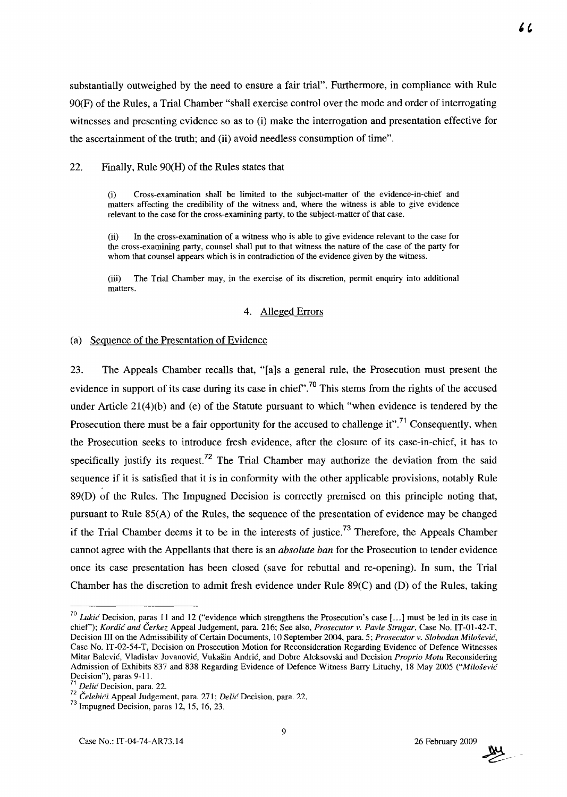substantially outweighed by the need to ensure a fair trial". Furthermore, in compliance with Rule 90(F) of the Rules, a Trial Chamber "shall exercise control over the mode and order of interrogating witnesses and presenting evidence so as to (i) make the interrogation and presentation effective for the ascertainment of the truth; and (ii) a void needless consumption of time".

22. Finally, Rule 90(H) of the Rules states that

Cross-examination shall be limited to the subject-matter of the evidence-in-chief and matters affecting the credibility of the witness and, where the witness is able to give evidence relevant to the case for the cross-examining party, to the subject-matter of that case.

(ii) In the cross-examination of a witness who is able to give evidence relevant to the case for the cross-examining party, counsel shall put to that witness the nature of the case of the party for whom that counsel appears which is in contradiction of the evidence given by the witness.

(iii) The Trial Chamber may, in the exercise of its discretion, permit enquiry into additional matters.

#### 4. Alleged Errors

#### (a) Sequence of the Presentation of Evidence

23. The Appeals Chamber recalls that, "[a]s a general rule, the Prosecution must present the evidence in support of its case during its case in chief".<sup>70</sup> This stems from the rights of the accused under Article 21(4)(b) and (e) of the Statute pursuant to which "when evidence is tendered by the Prosecution there must be a fair opportunity for the accused to challenge it".<sup>71</sup> Consequently, when the Prosecution seeks to introduce fresh evidence, after the closure of its case-in-chief, it has to specifically justify its request.<sup>72</sup> The Trial Chamber may authorize the deviation from the said sequence if it is satisfied that it is in conformity with the other applicable provisions, notably Rule 89(D) of the Rules. The Impugned Decision is correctly premised on this principle noting that, pursuant to Rule 85(A) of the Rules, the sequence of the presentation of evidence may be changed if the Trial Chamber deems it to be in the interests of justice.<sup>73</sup> Therefore, the Appeals Chamber cannot agree with the Appellants that there is an *absolute ban* for the Prosecution to tender evidence once its case presentation has been closed (save for rebuttal and re-opening). In sum, the Trial Chamber has the discretion to admit fresh evidence under Rule 89(C) and (D) of the Rules, taking



*<sup>70</sup> Lukic* Decision, paras 11 and 12 ("evidence which strengthens the Prosecution's case [ ... ] must be led in its case in chief'); *Kordic and Cerkez* Appeal Judgement, para. 216; See also, *Prosecutor v. Pavle Strugar,* Case No. IT-0l-42-T, Decision III on the Admissibility of Certain Documents, 10 September 2004, para. 5; *Prosecutor v. Slobodan Milosevic,*  Case No. IT-02-54-T, Decision on Prosecution Motion for Reconsideration Regarding Evidence of Defence Witnesses Mitar Balevic, Vladislav Jovanovic, Vukasin Andric, and Dobre Aleksovski and Decision *Proprio Motu* Reconsidering Admission of Exhibits 837 and 838 Regarding Evidence of Defence Witness Barry Lituchy, 18 May 2005 *("Milosevic*  Decision"), paras 9-11.

<sup>71</sup>*Delic* Decision, para. 22.

*<sup>72</sup> CelebiCi* Appeal Judgement, para. 271; *Delic* Decision, para. 22.

<sup>&</sup>lt;sup>73</sup> Impugned Decision, paras 12, 15, 16, 23.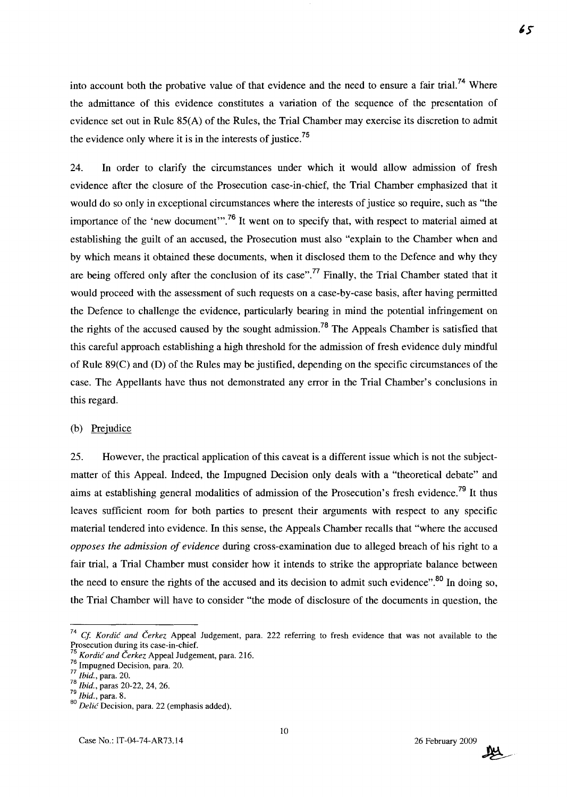into account both the probative value of that evidence and the need to ensure a fair trial.<sup>74</sup> Where the admittance of this evidence constitutes a variation of the sequence of the presentation of evidence set out in Rule 85(A) of the Rules, the Trial Chamber may exercise its discretion to admit the evidence only where it is in the interests of justice.<sup>75</sup>

24. In order to clarify the circumstances under which it would allow admission of fresh evidence after the closure of the Prosecution case-in-chief, the Trial Chamber emphasized that it would do so only in exceptional circumstances where the interests of justice so require, such as "the importance of the 'new document'".<sup>76</sup> It went on to specify that, with respect to material aimed at establishing the guilt of an accused, the Prosecution must also "explain to the Chamber when and by which means it obtained these documents, when it disclosed them to the Defence and why they are being offered only after the conclusion of its case".<sup>77</sup> Finally, the Trial Chamber stated that it would proceed with the assessment of such requests on a case-by-case basis, after having permitted the Defence to challenge the evidence, particularly bearing in mind the potential infringement on the rights of the accused caused by the sought admission.<sup>78</sup> The Appeals Chamber is satisfied that this careful approach establishing a high threshold for the admission of fresh evidence duly mindful of Rule 89(C) and (D) of the Rules may be justified, depending on the specific circumstances of the case. The Appellants have thus not demonstrated any error in the Trial Chamber's conclusions in this regard.

#### (b) Prejudice

25. However, the practical application of this caveat is a different issue which is not the subjectmatter of this Appeal. Indeed, the Impugned Decision only deals with a "theoretical debate" and aims at establishing general modalities of admission of the Prosecution's fresh evidence.<sup>79</sup> It thus leaves sufficient room for both parties to present their arguments with respect to any specific material tendered into evidence. In this sense, the Appeals Chamber recalls that "where the accused *opposes the admission of evidence* during cross-examination due to alleged breach of his right to a fair trial, a Trial Chamber must consider how it intends to strike the appropriate balance between the need to ensure the rights of the accused and its decision to admit such evidence".<sup>80</sup> In doing so, the Trial Chamber will have to consider "the mode of disclosure of the documents in question, the



*<sup>74</sup> Cf Kordic and Cerkez* Appeal Judgement, para. 222 referring to fresh evidence that was not available to the Prosecution during its case-in-chief.

*<sup>75</sup> Kordic and Cerkez* Appeal Judgement, para. 216.  $76$  Impugned Decision, para. 20.

*<sup>77</sup> Ibid.,* para. 20.

*<sup>78</sup> Ibid.,* paras 20-22, 24, 26.

*<sup>79</sup> Ibid.,* para. 8.

*<sup>80</sup> Delic* Decision, para. 22 (emphasis added).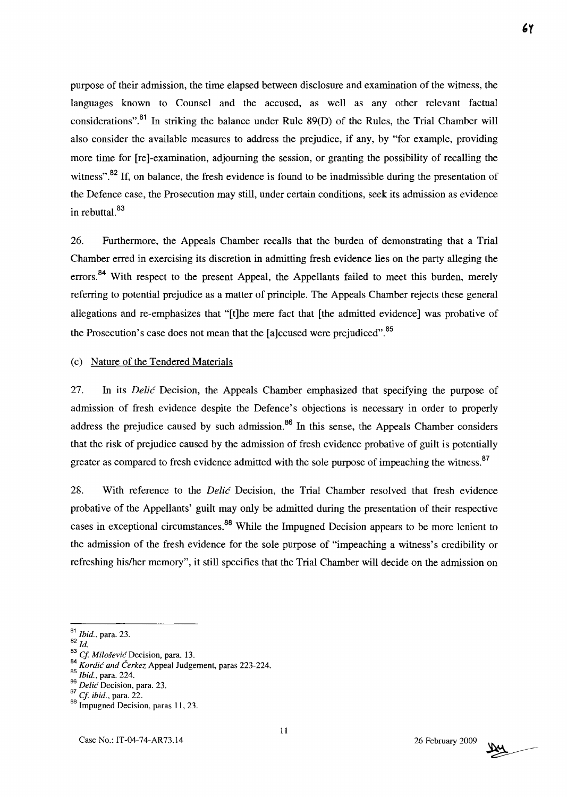purpose of their admission, the time elapsed between disclosure and examination of the witness, the languages known to Counsel and the accused, as well as any other relevant factual considerations".<sup>81</sup> In striking the balance under Rule  $89(D)$  of the Rules, the Trial Chamber will also consider the available measures to address the prejudice, if any, by "for example, providing more time for [re]-examination, adjourning the session, or granting the possibility of recalling the witness".<sup>82</sup> If, on balance, the fresh evidence is found to be inadmissible during the presentation of the Defence case, the Prosecution may still, under certain conditions, seek its admission as evidence in rebuttal.<sup>83</sup>

26. Furthermore, the Appeals Chamber recalls that the burden of demonstrating that a Trial Chamber erred in exercising its discretion in admitting fresh evidence lies on the party alleging the errors.<sup>84</sup> With respect to the present Appeal, the Appellants failed to meet this burden, merely referring to potential prejudice as a matter of principle. The Appeals Chamber rejects these general allegations and re-emphasizes that "[t]he mere fact that [the admitted evidence] was probative of the Prosecution's case does not mean that the [a]ccused were prejudiced".<sup>85</sup>

### (c) Nature of the Tendered Materials

27. In its *Delic* Decision, the Appeals Chamber emphasized that specifying the purpose of admission of fresh evidence despite the Defence's objections is necessary in order to properly address the prejudice caused by such admission.<sup>86</sup> In this sense, the Appeals Chamber considers that the risk of prejudice caused by the admission of fresh evidence probative of guilt is potentially greater as compared to fresh evidence admitted with the sole purpose of impeaching the witness.<sup>87</sup>

28. With reference to the *Delic* Decision, the Trial Chamber resolved that fresh evidence probative of the Appellants' guilt may only be admitted during the presentation of their respective cases in exceptional circumstances.<sup>88</sup> While the Impugned Decision appears to be more lenient to the admission of the fresh evidence for the sole purpose of "impeaching a witness's credibility or refreshing his/her memory", it still specifies that the Trial Chamber will decide on the admission on



<sup>81</sup>*Ibid.,* para. 23.

*<sup>82</sup> Id.* 

<sup>&</sup>lt;sup>83</sup> *Cf. Milošević* Decision, para. 13.

*<sup>84</sup> Kordic and Cerkez* Appeal Judgement, paras 223-224.

*<sup>85</sup> Ibid.,* para. 224.

*<sup>86</sup> Delic* Decision, para. 23.

<sup>87</sup>Cf. *ibid.,* para. 22.

<sup>88</sup> Impugned Decision, paras 11, 23.